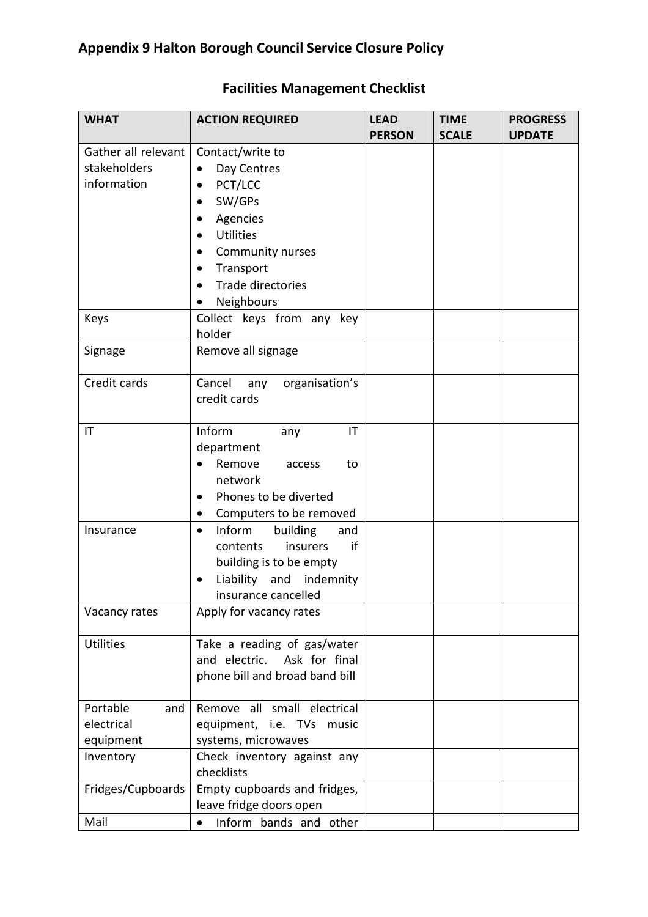| <b>WHAT</b>            | <b>ACTION REQUIRED</b>                 | <b>LEAD</b><br><b>PERSON</b> | <b>TIME</b><br><b>SCALE</b> | <b>PROGRESS</b><br><b>UPDATE</b> |
|------------------------|----------------------------------------|------------------------------|-----------------------------|----------------------------------|
| Gather all relevant    | Contact/write to                       |                              |                             |                                  |
| stakeholders           | Day Centres<br>$\bullet$               |                              |                             |                                  |
| information            | PCT/LCC<br>٠                           |                              |                             |                                  |
|                        | SW/GPs<br>٠                            |                              |                             |                                  |
|                        |                                        |                              |                             |                                  |
|                        | Agencies<br>٠                          |                              |                             |                                  |
|                        | <b>Utilities</b><br>$\bullet$          |                              |                             |                                  |
|                        | Community nurses                       |                              |                             |                                  |
|                        | Transport<br>$\bullet$                 |                              |                             |                                  |
|                        | Trade directories                      |                              |                             |                                  |
|                        | Neighbours                             |                              |                             |                                  |
| Keys                   | Collect keys from any key              |                              |                             |                                  |
|                        | holder                                 |                              |                             |                                  |
| Signage                | Remove all signage                     |                              |                             |                                  |
| Credit cards           | Cancel<br>organisation's<br>any        |                              |                             |                                  |
|                        | credit cards                           |                              |                             |                                  |
|                        |                                        |                              |                             |                                  |
| $\mathsf{I}\mathsf{T}$ | Inform<br>IT<br>any                    |                              |                             |                                  |
|                        | department                             |                              |                             |                                  |
|                        | Remove<br>to<br>access                 |                              |                             |                                  |
|                        | network                                |                              |                             |                                  |
|                        | Phones to be diverted<br>٠             |                              |                             |                                  |
|                        | Computers to be removed<br>$\bullet$   |                              |                             |                                  |
| Insurance              | Inform<br>building<br>and<br>$\bullet$ |                              |                             |                                  |
|                        | if<br>insurers<br>contents             |                              |                             |                                  |
|                        | building is to be empty                |                              |                             |                                  |
|                        | Liability and indemnity                |                              |                             |                                  |
|                        | insurance cancelled                    |                              |                             |                                  |
| Vacancy rates          | Apply for vacancy rates                |                              |                             |                                  |
|                        |                                        |                              |                             |                                  |
| <b>Utilities</b>       | Take a reading of gas/water            |                              |                             |                                  |
|                        | and electric. Ask for final            |                              |                             |                                  |
|                        | phone bill and broad band bill         |                              |                             |                                  |
|                        |                                        |                              |                             |                                  |
| Portable<br>and        | Remove all small electrical            |                              |                             |                                  |
| electrical             | equipment, i.e. TVs music              |                              |                             |                                  |
| equipment              | systems, microwaves                    |                              |                             |                                  |
| Inventory              | Check inventory against any            |                              |                             |                                  |
|                        | checklists                             |                              |                             |                                  |
| Fridges/Cupboards      | Empty cupboards and fridges,           |                              |                             |                                  |
|                        | leave fridge doors open                |                              |                             |                                  |
| Mail                   | Inform bands and other<br>$\bullet$    |                              |                             |                                  |

## Facilities Management Checklist